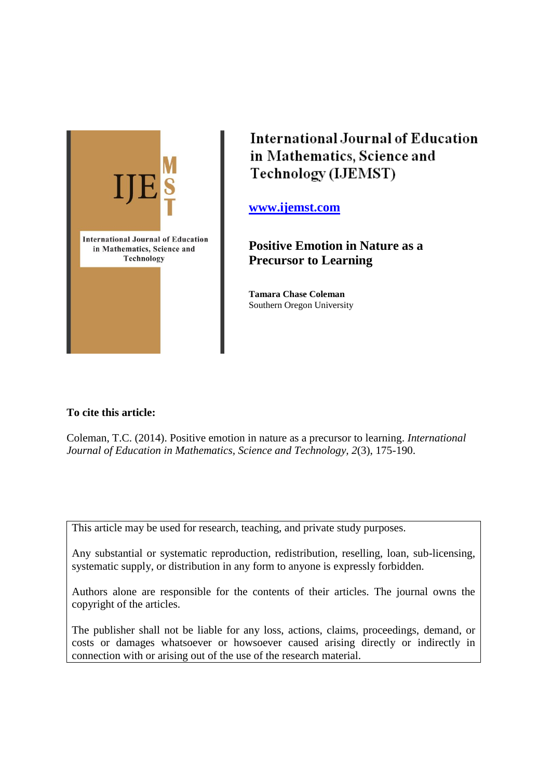

**International Journal of Education** in Mathematics, Science and Technology (IJEMST)

**[www.ijemst.com](http://www.ijemst.com/)**

**Positive Emotion in Nature as a Precursor to Learning**

**Tamara Chase Coleman** Southern Oregon University

# **To cite this article:**

Coleman, T.C. (2014). Positive emotion in nature as a precursor to learning. *International Journal of Education in Mathematics, Science and Technology, 2*(3), 175-190.

This article may be used for research, teaching, and private study purposes.

Any substantial or systematic reproduction, redistribution, reselling, loan, sub-licensing, systematic supply, or distribution in any form to anyone is expressly forbidden.

Authors alone are responsible for the contents of their articles. The journal owns the copyright of the articles.

The publisher shall not be liable for any loss, actions, claims, proceedings, demand, or costs or damages whatsoever or howsoever caused arising directly or indirectly in connection with or arising out of the use of the research material.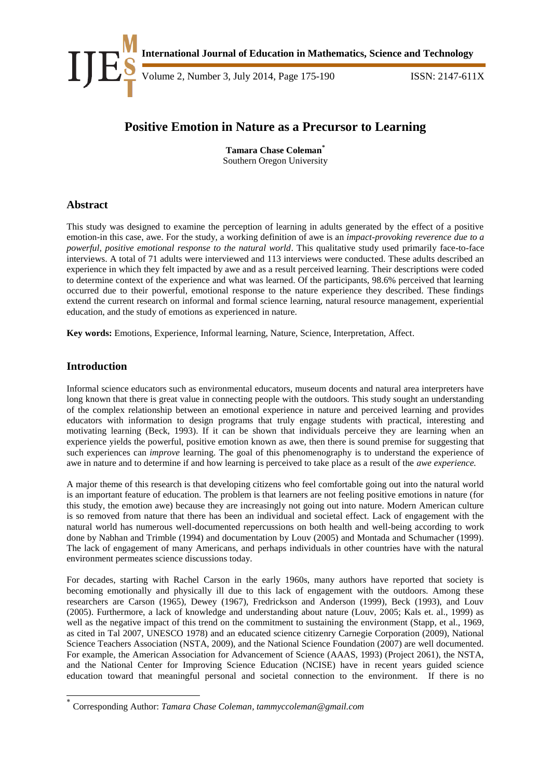

# **Positive Emotion in Nature as a Precursor to Learning**

**Tamara Chase Coleman\*** Southern Oregon University

# **Abstract**

This study was designed to examine the perception of learning in adults generated by the effect of a positive emotion-in this case, awe. For the study, a working definition of awe is an *impact-provoking reverence due to a powerful, positive emotional response to the natural world*. This qualitative study used primarily face-to-face interviews. A total of 71 adults were interviewed and 113 interviews were conducted. These adults described an experience in which they felt impacted by awe and as a result perceived learning. Their descriptions were coded to determine context of the experience and what was learned. Of the participants, 98.6% perceived that learning occurred due to their powerful, emotional response to the nature experience they described. These findings extend the current research on informal and formal science learning, natural resource management, experiential education, and the study of emotions as experienced in nature.

**Key words:** Emotions, Experience, Informal learning, Nature, Science, Interpretation, Affect.

# **Introduction**

-

Informal science educators such as environmental educators, museum docents and natural area interpreters have long known that there is great value in connecting people with the outdoors. This study sought an understanding of the complex relationship between an emotional experience in nature and perceived learning and provides educators with information to design programs that truly engage students with practical, interesting and motivating learning (Beck, 1993). If it can be shown that individuals perceive they are learning when an experience yields the powerful, positive emotion known as awe, then there is sound premise for suggesting that such experiences can *improve* learning. The goal of this phenomenography is to understand the experience of awe in nature and to determine if and how learning is perceived to take place as a result of the *awe experience.* 

A major theme of this research is that developing citizens who feel comfortable going out into the natural world is an important feature of education. The problem is that learners are not feeling positive emotions in nature (for this study, the emotion awe) because they are increasingly not going out into nature. Modern American culture is so removed from nature that there has been an individual and societal effect. Lack of engagement with the natural world has numerous well-documented repercussions on both health and well-being according to work done by Nabhan and Trimble (1994) and documentation by Louv (2005) and Montada and Schumacher (1999). The lack of engagement of many Americans, and perhaps individuals in other countries have with the natural environment permeates science discussions today.

For decades, starting with Rachel Carson in the early 1960s, many authors have reported that society is becoming emotionally and physically ill due to this lack of engagement with the outdoors. Among these researchers are Carson (1965), Dewey (1967), Fredrickson and Anderson (1999), Beck (1993), and Louv (2005). Furthermore, a lack of knowledge and understanding about nature (Louv, 2005; Kals et. al., 1999) as well as the negative impact of this trend on the commitment to sustaining the environment (Stapp, et al., 1969, as cited in Tal 2007, UNESCO 1978) and an educated science citizenry Carnegie Corporation (2009), National Science Teachers Association (NSTA, 2009), and the National Science Foundation (2007) are well documented. For example, the American Association for Advancement of Science (AAAS, 1993) (Project 2061), the NSTA, and the National Center for Improving Science Education (NCISE) have in recent years guided science education toward that meaningful personal and societal connection to the environment. If there is no

<sup>\*</sup> Corresponding Author: *Tamara Chase Coleman, tammyccoleman@gmail.com*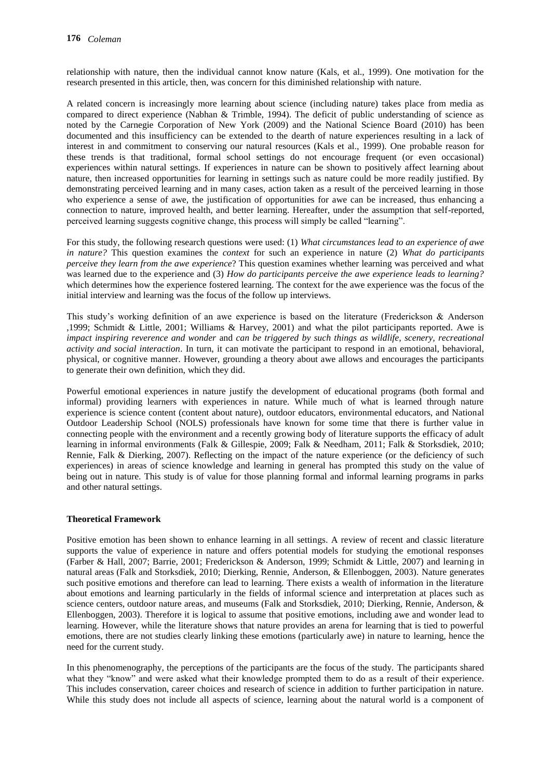relationship with nature, then the individual cannot know nature (Kals, et al., 1999). One motivation for the research presented in this article, then, was concern for this diminished relationship with nature.

A related concern is increasingly more learning about science (including nature) takes place from media as compared to direct experience (Nabhan & Trimble, 1994). The deficit of public understanding of science as noted by the Carnegie Corporation of New York (2009) and the National Science Board (2010) has been documented and this insufficiency can be extended to the dearth of nature experiences resulting in a lack of interest in and commitment to conserving our natural resources (Kals et al., 1999). One probable reason for these trends is that traditional, formal school settings do not encourage frequent (or even occasional) experiences within natural settings. If experiences in nature can be shown to positively affect learning about nature, then increased opportunities for learning in settings such as nature could be more readily justified. By demonstrating perceived learning and in many cases, action taken as a result of the perceived learning in those who experience a sense of awe, the justification of opportunities for awe can be increased, thus enhancing a connection to nature, improved health, and better learning. Hereafter, under the assumption that self-reported, perceived learning suggests cognitive change, this process will simply be called "learning".

For this study, the following research questions were used: (1) *What circumstances lead to an experience of awe in nature?* This question examines the *context* for such an experience in nature (2) *What do participants perceive they learn from the awe experience*? This question examines whether learning was perceived and what was learned due to the experience and (3) *How do participants perceive the awe experience leads to learning?*  which determines how the experience fostered learning. The context for the awe experience was the focus of the initial interview and learning was the focus of the follow up interviews.

This study's working definition of an awe experience is based on the literature (Frederickson & Anderson ,1999; Schmidt & Little, 2001; Williams & Harvey, 2001) and what the pilot participants reported. Awe is *impact inspiring reverence and wonder* and *can be triggered by such things as wildlife, scenery, recreational activity and social interaction*. In turn, it can motivate the participant to respond in an emotional, behavioral, physical, or cognitive manner. However, grounding a theory about awe allows and encourages the participants to generate their own definition, which they did.

Powerful emotional experiences in nature justify the development of educational programs (both formal and informal) providing learners with experiences in nature. While much of what is learned through nature experience is science content (content about nature), outdoor educators, environmental educators, and National Outdoor Leadership School (NOLS) professionals have known for some time that there is further value in connecting people with the environment and a recently growing body of literature supports the efficacy of adult learning in informal environments (Falk & Gillespie, 2009; Falk & Needham, 2011; Falk & Storksdiek, 2010; Rennie, Falk & Dierking, 2007). Reflecting on the impact of the nature experience (or the deficiency of such experiences) in areas of science knowledge and learning in general has prompted this study on the value of being out in nature. This study is of value for those planning formal and informal learning programs in parks and other natural settings.

# **Theoretical Framework**

Positive emotion has been shown to enhance learning in all settings. A review of recent and classic literature supports the value of experience in nature and offers potential models for studying the emotional responses (Farber & Hall, 2007; Barrie, 2001; Frederickson & Anderson, 1999; Schmidt & Little, 2007) and learning in natural areas (Falk and Storksdiek, 2010; Dierking, Rennie, Anderson, & Ellenboggen, 2003). Nature generates such positive emotions and therefore can lead to learning. There exists a wealth of information in the literature about emotions and learning particularly in the fields of informal science and interpretation at places such as science centers, outdoor nature areas, and museums (Falk and Storksdiek, 2010; Dierking, Rennie, Anderson, & Ellenboggen, 2003). Therefore it is logical to assume that positive emotions, including awe and wonder lead to learning. However, while the literature shows that nature provides an arena for learning that is tied to powerful emotions, there are not studies clearly linking these emotions (particularly awe) in nature to learning, hence the need for the current study.

In this phenomenography, the perceptions of the participants are the focus of the study. The participants shared what they "know" and were asked what their knowledge prompted them to do as a result of their experience. This includes conservation, career choices and research of science in addition to further participation in nature. While this study does not include all aspects of science, learning about the natural world is a component of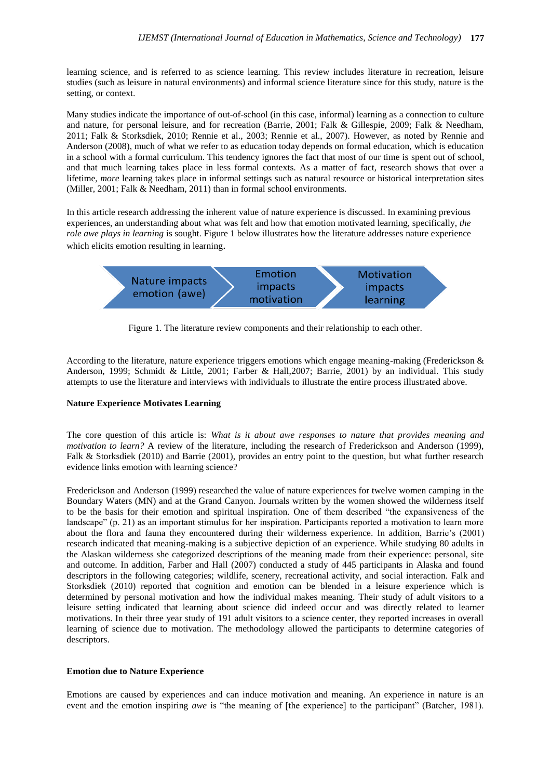learning science, and is referred to as science learning. This review includes literature in recreation, leisure studies (such as leisure in natural environments) and informal science literature since for this study, nature is the setting, or context.

Many studies indicate the importance of out-of-school (in this case, informal) learning as a connection to culture and nature, for personal leisure, and for recreation (Barrie, 2001; Falk & Gillespie, 2009; Falk & Needham, 2011; Falk & Storksdiek, 2010; Rennie et al., 2003; Rennie et al., 2007). However, as noted by Rennie and Anderson (2008), much of what we refer to as education today depends on formal education, which is education in a school with a formal curriculum. This tendency ignores the fact that most of our time is spent out of school, and that much learning takes place in less formal contexts. As a matter of fact, research shows that over a lifetime, *more* learning takes place in informal settings such as natural resource or historical interpretation sites (Miller, 2001; Falk & Needham, 2011) than in formal school environments.

In this article research addressing the inherent value of nature experience is discussed. In examining previous experiences, an understanding about what was felt and how that emotion motivated learning, specifically, *the role awe plays in learning* is sought. Figure 1 below illustrates how the literature addresses nature experience which elicits emotion resulting in learning.



Figure 1. The literature review components and their relationship to each other.

According to the literature, nature experience triggers emotions which engage meaning-making (Frederickson & Anderson, 1999; Schmidt & Little, 2001; Farber & Hall,2007; Barrie, 2001) by an individual. This study attempts to use the literature and interviews with individuals to illustrate the entire process illustrated above.

# **Nature Experience Motivates Learning**

The core question of this article is: *What is it about awe responses to nature that provides meaning and motivation to learn?* A review of the literature, including the research of Frederickson and Anderson (1999), Falk & Storksdiek (2010) and Barrie (2001), provides an entry point to the question, but what further research evidence links emotion with learning science?

Frederickson and Anderson (1999) researched the value of nature experiences for twelve women camping in the Boundary Waters (MN) and at the Grand Canyon. Journals written by the women showed the wilderness itself to be the basis for their emotion and spiritual inspiration. One of them described "the expansiveness of the landscape" (p. 21) as an important stimulus for her inspiration. Participants reported a motivation to learn more about the flora and fauna they encountered during their wilderness experience. In addition, Barrie's (2001) research indicated that meaning-making is a subjective depiction of an experience. While studying 80 adults in the Alaskan wilderness she categorized descriptions of the meaning made from their experience: personal, site and outcome. In addition, Farber and Hall (2007) conducted a study of 445 participants in Alaska and found descriptors in the following categories; wildlife, scenery, recreational activity, and social interaction. Falk and Storksdiek (2010) reported that cognition and emotion can be blended in a leisure experience which is determined by personal motivation and how the individual makes meaning. Their study of adult visitors to a leisure setting indicated that learning about science did indeed occur and was directly related to learner motivations. In their three year study of 191 adult visitors to a science center, they reported increases in overall learning of science due to motivation. The methodology allowed the participants to determine categories of descriptors.

#### **Emotion due to Nature Experience**

Emotions are caused by experiences and can induce motivation and meaning. An experience in nature is an event and the emotion inspiring *awe* is "the meaning of [the experience] to the participant" (Batcher, 1981).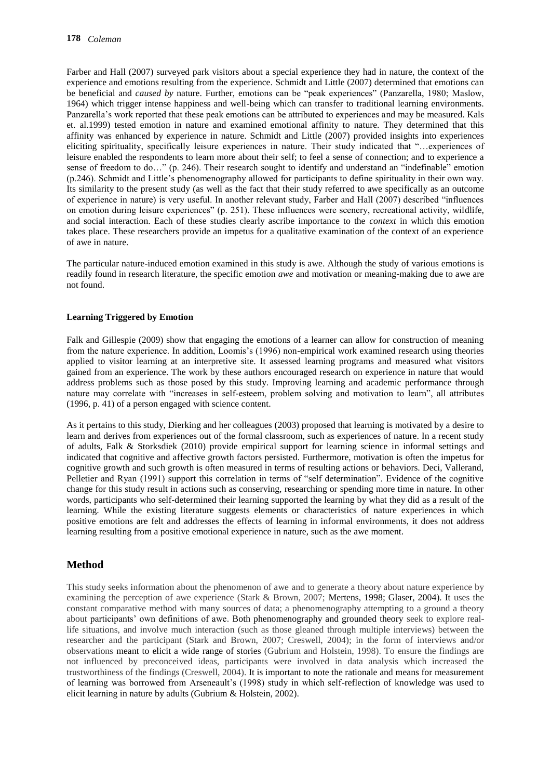Farber and Hall (2007) surveyed park visitors about a special experience they had in nature, the context of the experience and emotions resulting from the experience. Schmidt and Little (2007) determined that emotions can be beneficial and *caused by* nature. Further, emotions can be "peak experiences" (Panzarella, 1980; Maslow, 1964) which trigger intense happiness and well-being which can transfer to traditional learning environments. Panzarella's work reported that these peak emotions can be attributed to experiences and may be measured. Kals et. al.1999) tested emotion in nature and examined emotional affinity to nature. They determined that this affinity was enhanced by experience in nature. Schmidt and Little (2007) provided insights into experiences eliciting spirituality, specifically leisure experiences in nature. Their study indicated that "…experiences of leisure enabled the respondents to learn more about their self; to feel a sense of connection; and to experience a sense of freedom to do…" (p. 246). Their research sought to identify and understand an "indefinable" emotion (p.246). Schmidt and Little's phenomenography allowed for participants to define spirituality in their own way. Its similarity to the present study (as well as the fact that their study referred to awe specifically as an outcome of experience in nature) is very useful. In another relevant study, Farber and Hall (2007) described "influences on emotion during leisure experiences" (p. 251). These influences were scenery, recreational activity, wildlife, and social interaction. Each of these studies clearly ascribe importance to the *context* in which this emotion takes place. These researchers provide an impetus for a qualitative examination of the context of an experience of awe in nature.

The particular nature-induced emotion examined in this study is awe. Although the study of various emotions is readily found in research literature, the specific emotion *awe* and motivation or meaning-making due to awe are not found.

#### **Learning Triggered by Emotion**

Falk and Gillespie (2009) show that engaging the emotions of a learner can allow for construction of meaning from the nature experience. In addition, Loomis's (1996) non-empirical work examined research using theories applied to visitor learning at an interpretive site. It assessed learning programs and measured what visitors gained from an experience. The work by these authors encouraged research on experience in nature that would address problems such as those posed by this study. Improving learning and academic performance through nature may correlate with "increases in self-esteem, problem solving and motivation to learn", all attributes (1996, p. 41) of a person engaged with science content.

As it pertains to this study, Dierking and her colleagues (2003) proposed that learning is motivated by a desire to learn and derives from experiences out of the formal classroom, such as experiences of nature. In a recent study of adults, Falk & Storksdiek (2010) provide empirical support for learning science in informal settings and indicated that cognitive and affective growth factors persisted. Furthermore, motivation is often the impetus for cognitive growth and such growth is often measured in terms of resulting actions or behaviors. Deci, Vallerand, Pelletier and Ryan (1991) support this correlation in terms of "self determination". Evidence of the cognitive change for this study result in actions such as conserving, researching or spending more time in nature. In other words, participants who self-determined their learning supported the learning by what they did as a result of the learning. While the existing literature suggests elements or characteristics of nature experiences in which positive emotions are felt and addresses the effects of learning in informal environments, it does not address learning resulting from a positive emotional experience in nature, such as the awe moment.

# **Method**

This study seeks information about the phenomenon of awe and to generate a theory about nature experience by examining the perception of awe experience (Stark & Brown, 2007; Mertens, 1998; Glaser, 2004). It uses the constant comparative method with many sources of data; a phenomenography attempting to a ground a theory about participants' own definitions of awe. Both phenomenography and grounded theory seek to explore reallife situations, and involve much interaction (such as those gleaned through multiple interviews) between the researcher and the participant (Stark and Brown, 2007; Creswell, 2004); in the form of interviews and/or observations meant to elicit a wide range of stories (Gubrium and Holstein, 1998). To ensure the findings are not influenced by preconceived ideas, participants were involved in data analysis which increased the trustworthiness of the findings (Creswell, 2004). It is important to note the rationale and means for measurement of learning was borrowed from Arseneault's (1998) study in which self-reflection of knowledge was used to elicit learning in nature by adults (Gubrium & Holstein, 2002).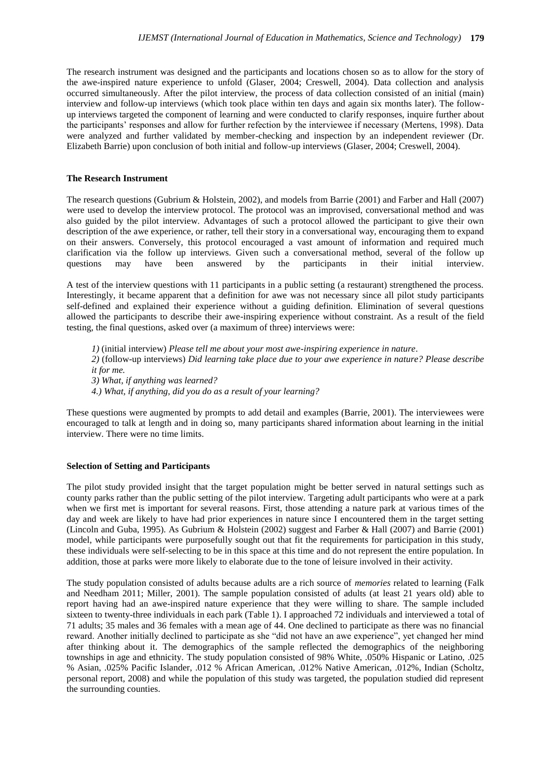The research instrument was designed and the participants and locations chosen so as to allow for the story of the awe-inspired nature experience to unfold (Glaser, 2004; Creswell, 2004). Data collection and analysis occurred simultaneously. After the pilot interview, the process of data collection consisted of an initial (main) interview and follow-up interviews (which took place within ten days and again six months later). The followup interviews targeted the component of learning and were conducted to clarify responses, inquire further about the participants' responses and allow for further refection by the interviewee if necessary (Mertens, 1998). Data were analyzed and further validated by member-checking and inspection by an independent reviewer (Dr. Elizabeth Barrie) upon conclusion of both initial and follow-up interviews (Glaser, 2004; Creswell, 2004).

#### **The Research Instrument**

The research questions (Gubrium & Holstein, 2002), and models from Barrie (2001) and Farber and Hall (2007) were used to develop the interview protocol. The protocol was an improvised, conversational method and was also guided by the pilot interview. Advantages of such a protocol allowed the participant to give their own description of the awe experience, or rather, tell their story in a conversational way, encouraging them to expand on their answers. Conversely, this protocol encouraged a vast amount of information and required much clarification via the follow up interviews. Given such a conversational method, several of the follow up questions may have been answered by the participants in their initial interview.

A test of the interview questions with 11 participants in a public setting (a restaurant) strengthened the process. Interestingly, it became apparent that a definition for awe was not necessary since all pilot study participants self-defined and explained their experience without a guiding definition. Elimination of several questions allowed the participants to describe their awe-inspiring experience without constraint. As a result of the field testing, the final questions, asked over (a maximum of three) interviews were:

*1)* (initial interview) *Please tell me about your most awe-inspiring experience in nature*. *2)* (follow-up interviews) *Did learning take place due to your awe experience in nature? Please describe* 

*it for me.*

*3) What, if anything was learned?* 

*4.) What, if anything, did you do as a result of your learning?*

These questions were augmented by prompts to add detail and examples (Barrie, 2001). The interviewees were encouraged to talk at length and in doing so, many participants shared information about learning in the initial interview. There were no time limits.

#### **Selection of Setting and Participants**

The pilot study provided insight that the target population might be better served in natural settings such as county parks rather than the public setting of the pilot interview. Targeting adult participants who were at a park when we first met is important for several reasons. First, those attending a nature park at various times of the day and week are likely to have had prior experiences in nature since I encountered them in the target setting (Lincoln and Guba, 1995). As Gubrium & Holstein (2002) suggest and Farber & Hall (2007) and Barrie (2001) model, while participants were purposefully sought out that fit the requirements for participation in this study, these individuals were self-selecting to be in this space at this time and do not represent the entire population. In addition, those at parks were more likely to elaborate due to the tone of leisure involved in their activity.

The study population consisted of adults because adults are a rich source of *memories* related to learning (Falk and Needham 2011; Miller, 2001). The sample population consisted of adults (at least 21 years old) able to report having had an awe-inspired nature experience that they were willing to share. The sample included sixteen to twenty-three individuals in each park (Table 1). I approached 72 individuals and interviewed a total of 71 adults; 35 males and 36 females with a mean age of 44. One declined to participate as there was no financial reward. Another initially declined to participate as she "did not have an awe experience", yet changed her mind after thinking about it. The demographics of the sample reflected the demographics of the neighboring townships in age and ethnicity. The study population consisted of 98% White, .050% Hispanic or Latino, .025 % Asian, .025% Pacific Islander, .012 % African American, .012% Native American, .012%, Indian (Scholtz, personal report, 2008) and while the population of this study was targeted, the population studied did represent the surrounding counties.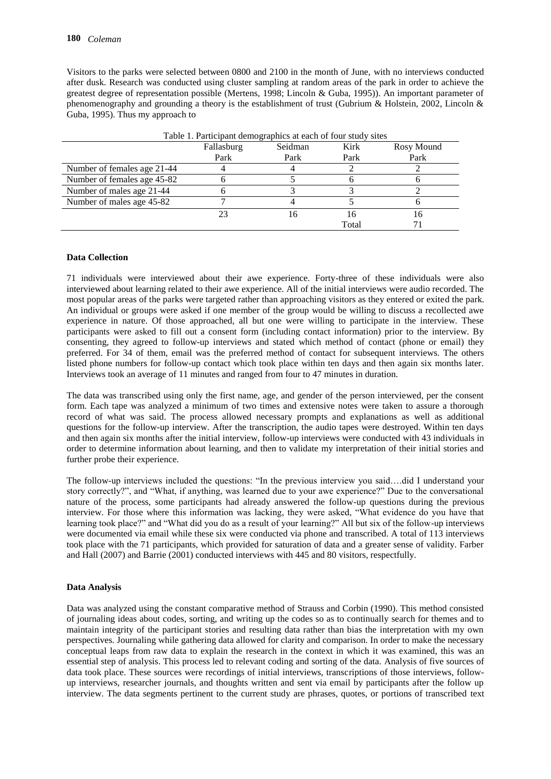Visitors to the parks were selected between 0800 and 2100 in the month of June, with no interviews conducted after dusk. Research was conducted using cluster sampling at random areas of the park in order to achieve the greatest degree of representation possible (Mertens, 1998; Lincoln & Guba, 1995)). An important parameter of phenomenography and grounding a theory is the establishment of trust (Gubrium & Holstein, 2002, Lincoln & Guba, 1995). Thus my approach to

| Table 1. Participant demographics at each of four study sites |            |         |       |            |
|---------------------------------------------------------------|------------|---------|-------|------------|
|                                                               | Fallasburg | Seidman | Kirk  | Rosy Mound |
|                                                               | Park       | Park    | Park  | Park       |
| Number of females age 21-44                                   |            |         |       |            |
| Number of females age 45-82                                   |            |         |       |            |
| Number of males age 21-44                                     |            |         |       |            |
| Number of males age 45-82                                     |            |         |       |            |
|                                                               | 23         |         | I h   | Iб         |
|                                                               |            |         | Total |            |

# **Data Collection**

71 individuals were interviewed about their awe experience. Forty-three of these individuals were also interviewed about learning related to their awe experience. All of the initial interviews were audio recorded. The most popular areas of the parks were targeted rather than approaching visitors as they entered or exited the park. An individual or groups were asked if one member of the group would be willing to discuss a recollected awe experience in nature. Of those approached, all but one were willing to participate in the interview. These participants were asked to fill out a consent form (including contact information) prior to the interview. By consenting, they agreed to follow-up interviews and stated which method of contact (phone or email) they preferred. For 34 of them, email was the preferred method of contact for subsequent interviews. The others listed phone numbers for follow-up contact which took place within ten days and then again six months later. Interviews took an average of 11 minutes and ranged from four to 47 minutes in duration.

The data was transcribed using only the first name, age, and gender of the person interviewed, per the consent form. Each tape was analyzed a minimum of two times and extensive notes were taken to assure a thorough record of what was said. The process allowed necessary prompts and explanations as well as additional questions for the follow-up interview. After the transcription, the audio tapes were destroyed. Within ten days and then again six months after the initial interview, follow-up interviews were conducted with 43 individuals in order to determine information about learning, and then to validate my interpretation of their initial stories and further probe their experience.

The follow-up interviews included the questions: "In the previous interview you said….did I understand your story correctly?", and "What, if anything, was learned due to your awe experience?" Due to the conversational nature of the process, some participants had already answered the follow-up questions during the previous interview. For those where this information was lacking, they were asked, "What evidence do you have that learning took place?" and "What did you do as a result of your learning?" All but six of the follow-up interviews were documented via email while these six were conducted via phone and transcribed. A total of 113 interviews took place with the 71 participants, which provided for saturation of data and a greater sense of validity. Farber and Hall (2007) and Barrie (2001) conducted interviews with 445 and 80 visitors, respectfully.

#### **Data Analysis**

Data was analyzed using the constant comparative method of Strauss and Corbin (1990). This method consisted of journaling ideas about codes, sorting, and writing up the codes so as to continually search for themes and to maintain integrity of the participant stories and resulting data rather than bias the interpretation with my own perspectives. Journaling while gathering data allowed for clarity and comparison. In order to make the necessary conceptual leaps from raw data to explain the research in the context in which it was examined, this was an essential step of analysis. This process led to relevant coding and sorting of the data. Analysis of five sources of data took place. These sources were recordings of initial interviews, transcriptions of those interviews, followup interviews, researcher journals, and thoughts written and sent via email by participants after the follow up interview. The data segments pertinent to the current study are phrases, quotes, or portions of transcribed text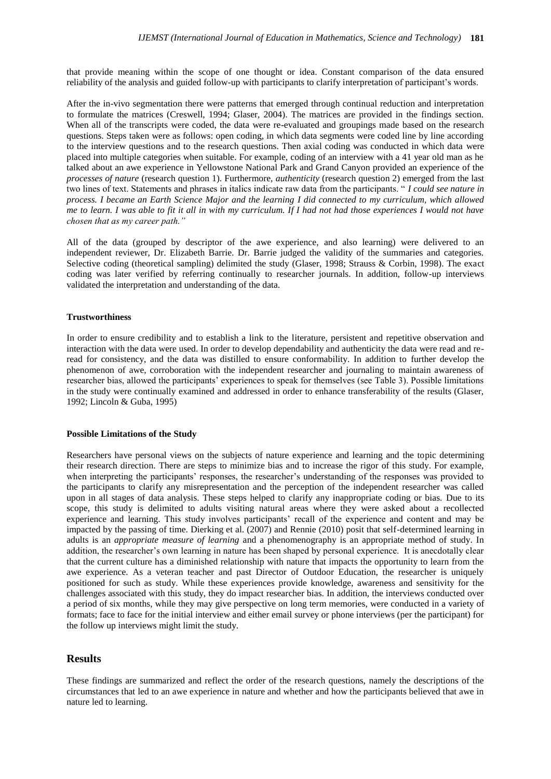that provide meaning within the scope of one thought or idea. Constant comparison of the data ensured reliability of the analysis and guided follow-up with participants to clarify interpretation of participant's words.

After the in-vivo segmentation there were patterns that emerged through continual reduction and interpretation to formulate the matrices (Creswell, 1994; Glaser, 2004). The matrices are provided in the findings section. When all of the transcripts were coded, the data were re-evaluated and groupings made based on the research questions. Steps taken were as follows: open coding, in which data segments were coded line by line according to the interview questions and to the research questions. Then axial coding was conducted in which data were placed into multiple categories when suitable. For example, coding of an interview with a 41 year old man as he talked about an awe experience in Yellowstone National Park and Grand Canyon provided an experience of the *processes of nature* (research question 1). Furthermore, *authenticity* (research question 2) emerged from the last two lines of text. Statements and phrases in italics indicate raw data from the participants. " *I could see nature in process. I became an Earth Science Major and the learning I did connected to my curriculum, which allowed me to learn. I was able to fit it all in with my curriculum. If I had not had those experiences I would not have chosen that as my career path."*

All of the data (grouped by descriptor of the awe experience, and also learning) were delivered to an independent reviewer, Dr. Elizabeth Barrie. Dr. Barrie judged the validity of the summaries and categories. Selective coding (theoretical sampling) delimited the study (Glaser, 1998; Strauss & Corbin, 1998). The exact coding was later verified by referring continually to researcher journals. In addition, follow-up interviews validated the interpretation and understanding of the data.

#### **Trustworthiness**

In order to ensure credibility and to establish a link to the literature, persistent and repetitive observation and interaction with the data were used. In order to develop dependability and authenticity the data were read and reread for consistency, and the data was distilled to ensure conformability. In addition to further develop the phenomenon of awe, corroboration with the independent researcher and journaling to maintain awareness of researcher bias, allowed the participants' experiences to speak for themselves (see Table 3). Possible limitations in the study were continually examined and addressed in order to enhance transferability of the results (Glaser, 1992; Lincoln & Guba, 1995)

#### **Possible Limitations of the Study**

Researchers have personal views on the subjects of nature experience and learning and the topic determining their research direction. There are steps to minimize bias and to increase the rigor of this study. For example, when interpreting the participants' responses, the researcher's understanding of the responses was provided to the participants to clarify any misrepresentation and the perception of the independent researcher was called upon in all stages of data analysis. These steps helped to clarify any inappropriate coding or bias. Due to its scope, this study is delimited to adults visiting natural areas where they were asked about a recollected experience and learning. This study involves participants' recall of the experience and content and may be impacted by the passing of time. Dierking et al. (2007) and Rennie (2010) posit that self-determined learning in adults is an *appropriate measure of learning* and a phenomenography is an appropriate method of study. In addition, the researcher's own learning in nature has been shaped by personal experience. It is anecdotally clear that the current culture has a diminished relationship with nature that impacts the opportunity to learn from the awe experience. As a veteran teacher and past Director of Outdoor Education, the researcher is uniquely positioned for such as study. While these experiences provide knowledge, awareness and sensitivity for the challenges associated with this study, they do impact researcher bias. In addition, the interviews conducted over a period of six months, while they may give perspective on long term memories, were conducted in a variety of formats; face to face for the initial interview and either email survey or phone interviews (per the participant) for the follow up interviews might limit the study.

#### **Results**

These findings are summarized and reflect the order of the research questions, namely the descriptions of the circumstances that led to an awe experience in nature and whether and how the participants believed that awe in nature led to learning.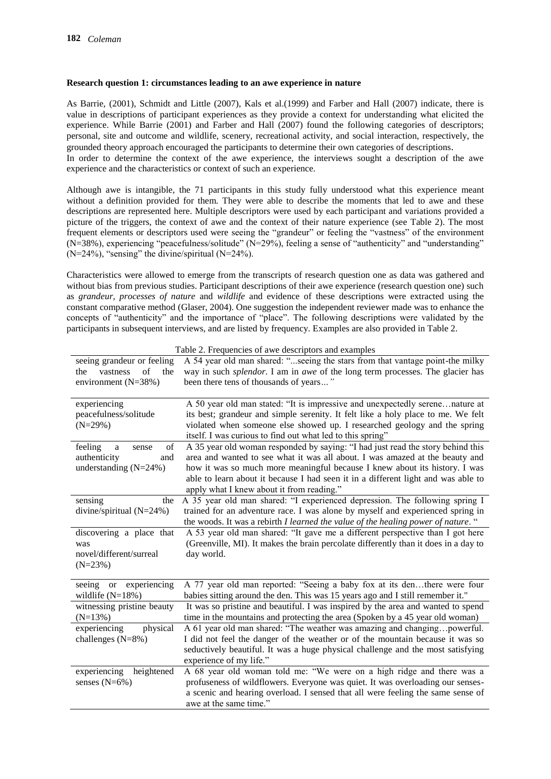### **Research question 1: circumstances leading to an awe experience in nature**

As Barrie, (2001), Schmidt and Little (2007), Kals et al.(1999) and Farber and Hall (2007) indicate, there is value in descriptions of participant experiences as they provide a context for understanding what elicited the experience. While Barrie (2001) and Farber and Hall (2007) found the following categories of descriptors; personal, site and outcome and wildlife, scenery, recreational activity, and social interaction, respectively, the grounded theory approach encouraged the participants to determine their own categories of descriptions. In order to determine the context of the awe experience, the interviews sought a description of the awe experience and the characteristics or context of such an experience.

Although awe is intangible, the 71 participants in this study fully understood what this experience meant without a definition provided for them. They were able to describe the moments that led to awe and these descriptions are represented here. Multiple descriptors were used by each participant and variations provided a picture of the triggers, the context of awe and the context of their nature experience (see Table 2). The most frequent elements or descriptors used were seeing the "grandeur" or feeling the "vastness" of the environment (N=38%), experiencing "peacefulness/solitude" (N=29%), feeling a sense of "authenticity" and "understanding"  $(N=24\%)$ , "sensing" the divine/spiritual  $(N=24\%)$ .

Characteristics were allowed to emerge from the transcripts of research question one as data was gathered and without bias from previous studies. Participant descriptions of their awe experience (research question one) such as *grandeur, processes of nature* and *wildlife* and evidence of these descriptions were extracted using the constant comparative method (Glaser, 2004). One suggestion the independent reviewer made was to enhance the concepts of "authenticity" and the importance of "place". The following descriptions were validated by the participants in subsequent interviews, and are listed by frequency. Examples are also provided in Table 2.

| seeing grandeur or feeling<br>of<br>vastness<br>the<br>the<br>environment $(N=38%)$ | A 54 year old man shared: "seeing the stars from that vantage point-the milky<br>way in such <i>splendor</i> . I am in awe of the long term processes. The glacier has<br>been there tens of thousands of years"                                                                                                                                                                |
|-------------------------------------------------------------------------------------|---------------------------------------------------------------------------------------------------------------------------------------------------------------------------------------------------------------------------------------------------------------------------------------------------------------------------------------------------------------------------------|
| experiencing<br>peacefulness/solitude<br>$(N=29%)$                                  | A 50 year old man stated: "It is impressive and unexpectedly serenenature at<br>its best; grandeur and simple serenity. It felt like a holy place to me. We felt<br>violated when someone else showed up. I researched geology and the spring<br>itself. I was curious to find out what led to this spring"                                                                     |
| of<br>feeling<br>a<br>sense<br>authenticity<br>and<br>understanding $(N=24%)$       | A 35 year old woman responded by saying: "I had just read the story behind this<br>area and wanted to see what it was all about. I was amazed at the beauty and<br>how it was so much more meaningful because I knew about its history. I was<br>able to learn about it because I had seen it in a different light and was able to<br>apply what I knew about it from reading." |
| sensing<br>the<br>divine/spiritual $(N=24%)$                                        | A 35 year old man shared: "I experienced depression. The following spring I<br>trained for an adventure race. I was alone by myself and experienced spring in<br>the woods. It was a rebirth I learned the value of the healing power of nature. "                                                                                                                              |
| discovering a place that<br>was<br>novel/different/surreal<br>$(N=23%)$             | A 53 year old man shared: "It gave me a different perspective than I got here<br>(Greenville, MI). It makes the brain percolate differently than it does in a day to<br>day world.                                                                                                                                                                                              |
| experiencing<br>seeing<br>or<br>wildlife $(N=18%)$                                  | A 77 year old man reported: "Seeing a baby fox at its denthere were four<br>babies sitting around the den. This was 15 years ago and I still remember it."                                                                                                                                                                                                                      |
| witnessing pristine beauty<br>$(N=13%)$                                             | It was so pristine and beautiful. I was inspired by the area and wanted to spend<br>time in the mountains and protecting the area (Spoken by a 45 year old woman)                                                                                                                                                                                                               |
| experiencing<br>physical<br>challenges $(N=8%)$                                     | A 61 year old man shared: "The weather was amazing and changingpowerful.<br>I did not feel the danger of the weather or of the mountain because it was so<br>seductively beautiful. It was a huge physical challenge and the most satisfying<br>experience of my life."                                                                                                         |
| experiencing<br>heightened<br>senses $(N=6\%)$                                      | A 68 year old woman told me: "We were on a high ridge and there was a<br>profuseness of wildflowers. Everyone was quiet. It was overloading our senses-<br>a scenic and hearing overload. I sensed that all were feeling the same sense of<br>awe at the same time."                                                                                                            |

Table 2. Frequencies of awe descriptors and examples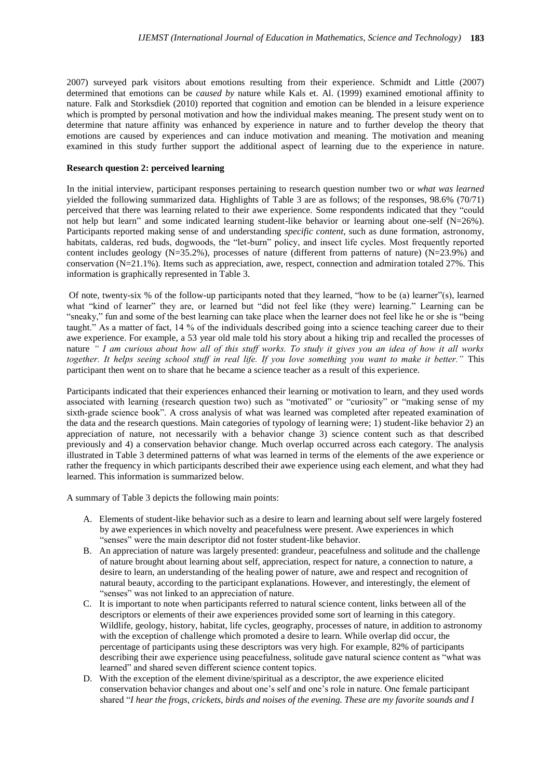2007) surveyed park visitors about emotions resulting from their experience. Schmidt and Little (2007) determined that emotions can be *caused by* nature while Kals et. Al. (1999) examined emotional affinity to nature. Falk and Storksdiek (2010) reported that cognition and emotion can be blended in a leisure experience which is prompted by personal motivation and how the individual makes meaning. The present study went on to determine that nature affinity was enhanced by experience in nature and to further develop the theory that emotions are caused by experiences and can induce motivation and meaning. The motivation and meaning examined in this study further support the additional aspect of learning due to the experience in nature.

### **Research question 2: perceived learning**

In the initial interview, participant responses pertaining to research question number two or *what was learned* yielded the following summarized data. Highlights of Table 3 are as follows; of the responses, 98.6% (70/71) perceived that there was learning related to their awe experience. Some respondents indicated that they "could not help but learn" and some indicated learning student-like behavior or learning about one-self (N=26%). Participants reported making sense of and understanding *specific content*, such as dune formation, astronomy, habitats, calderas, red buds, dogwoods, the "let-burn" policy, and insect life cycles. Most frequently reported content includes geology ( $N=35.2\%$ ), processes of nature (different from patterns of nature) ( $N=23.9\%$ ) and conservation (N=21.1%). Items such as appreciation, awe, respect, connection and admiration totaled 27%. This information is graphically represented in Table 3.

Of note, twenty-six % of the follow-up participants noted that they learned, "how to be (a) learner"(s), learned what "kind of learner" they are, or learned but "did not feel like (they were) learning." Learning can be "sneaky," fun and some of the best learning can take place when the learner does not feel like he or she is "being taught." As a matter of fact, 14 % of the individuals described going into a science teaching career due to their awe experience. For example, a 53 year old male told his story about a hiking trip and recalled the processes of nature *" I am curious about how all of this stuff works. To study it gives you an idea of how it all works together. It helps seeing school stuff in real life. If you love something you want to make it better."* This participant then went on to share that he became a science teacher as a result of this experience.

Participants indicated that their experiences enhanced their learning or motivation to learn, and they used words associated with learning (research question two) such as "motivated" or "curiosity" or "making sense of my sixth-grade science book". A cross analysis of what was learned was completed after repeated examination of the data and the research questions. Main categories of typology of learning were; 1) student-like behavior 2) an appreciation of nature, not necessarily with a behavior change 3) science content such as that described previously and 4) a conservation behavior change. Much overlap occurred across each category. The analysis illustrated in Table 3 determined patterns of what was learned in terms of the elements of the awe experience or rather the frequency in which participants described their awe experience using each element, and what they had learned. This information is summarized below.

A summary of Table 3 depicts the following main points:

- A. Elements of student-like behavior such as a desire to learn and learning about self were largely fostered by awe experiences in which novelty and peacefulness were present. Awe experiences in which "senses" were the main descriptor did not foster student-like behavior.
- B. An appreciation of nature was largely presented: grandeur, peacefulness and solitude and the challenge of nature brought about learning about self, appreciation, respect for nature, a connection to nature, a desire to learn, an understanding of the healing power of nature, awe and respect and recognition of natural beauty, according to the participant explanations. However, and interestingly, the element of "senses" was not linked to an appreciation of nature.
- C. It is important to note when participants referred to natural science content, links between all of the descriptors or elements of their awe experiences provided some sort of learning in this category. Wildlife, geology, history, habitat, life cycles, geography, processes of nature, in addition to astronomy with the exception of challenge which promoted a desire to learn. While overlap did occur, the percentage of participants using these descriptors was very high. For example, 82% of participants describing their awe experience using peacefulness, solitude gave natural science content as "what was learned" and shared seven different science content topics.
- D. With the exception of the element divine/spiritual as a descriptor, the awe experience elicited conservation behavior changes and about one's self and one's role in nature. One female participant shared "*I hear the frogs, crickets, birds and noises of the evening. These are my favorite sounds and I*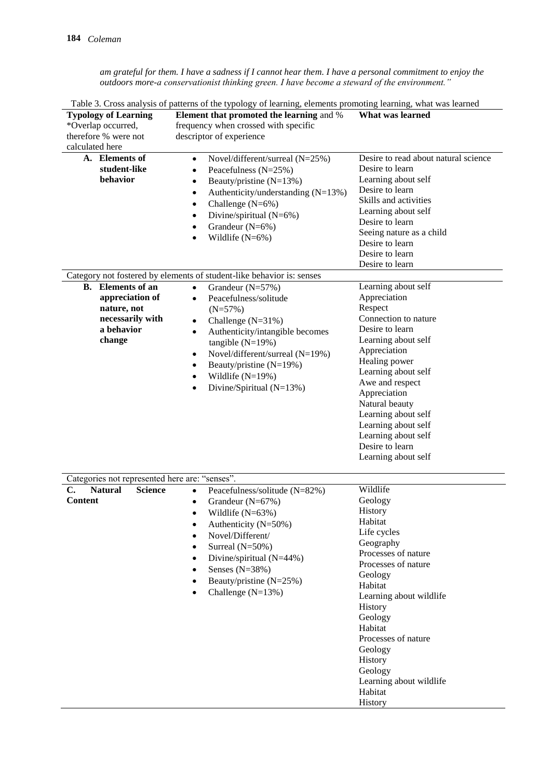*am grateful for them. I have a sadness if I cannot hear them. I have a personal commitment to enjoy the outdoors more-a conservationist thinking green. I have become a steward of the environment."*

| Table 3. Cross analysis of patterns of the typology of learning, elements promoting learning, what was learned |                                                                                                                                                                                                                                                                                                                                                               |                                                                                                                                                                                                                                                                                                                                              |  |  |
|----------------------------------------------------------------------------------------------------------------|---------------------------------------------------------------------------------------------------------------------------------------------------------------------------------------------------------------------------------------------------------------------------------------------------------------------------------------------------------------|----------------------------------------------------------------------------------------------------------------------------------------------------------------------------------------------------------------------------------------------------------------------------------------------------------------------------------------------|--|--|
| <b>Typology of Learning</b><br>*Overlap occurred,<br>therefore % were not                                      | Element that promoted the learning and %<br>frequency when crossed with specific<br>descriptor of experience                                                                                                                                                                                                                                                  | What was learned                                                                                                                                                                                                                                                                                                                             |  |  |
| calculated here                                                                                                |                                                                                                                                                                                                                                                                                                                                                               |                                                                                                                                                                                                                                                                                                                                              |  |  |
| A. Elements of<br>student-like<br>behavior                                                                     | Novel/different/surreal (N=25%)<br>$\bullet$<br>Peacefulness (N=25%)<br>$\bullet$<br>Beauty/pristine (N=13%)<br>٠<br>Authenticity/understanding $(N=13%)$<br>$\bullet$<br>Challenge (N=6%)<br>$\bullet$<br>Divine/spiritual (N=6%)<br>Grandeur $(N=6\%)$<br>٠<br>Wildlife $(N=6\%)$                                                                           | Desire to read about natural science<br>Desire to learn<br>Learning about self<br>Desire to learn<br>Skills and activities<br>Learning about self<br>Desire to learn<br>Seeing nature as a child<br>Desire to learn<br>Desire to learn<br>Desire to learn                                                                                    |  |  |
|                                                                                                                | Category not fostered by elements of student-like behavior is: senses                                                                                                                                                                                                                                                                                         |                                                                                                                                                                                                                                                                                                                                              |  |  |
| <b>B.</b> Elements of an<br>appreciation of<br>nature, not<br>necessarily with<br>a behavior<br>change         | Grandeur (N=57%)<br>$\bullet$<br>Peacefulness/solitude<br>$\bullet$<br>$(N=57%)$<br>Challenge (N=31%)<br>$\bullet$<br>Authenticity/intangible becomes<br>$\bullet$<br>tangible $(N=19%)$<br>Novel/different/surreal (N=19%)<br>٠<br>Beauty/pristine (N=19%)<br>٠<br>Wildlife $(N=19%)$<br>٠<br>Divine/Spiritual (N=13%)<br>٠                                  | Learning about self<br>Appreciation<br>Respect<br>Connection to nature<br>Desire to learn<br>Learning about self<br>Appreciation<br>Healing power<br>Learning about self<br>Awe and respect<br>Appreciation<br>Natural beauty<br>Learning about self<br>Learning about self<br>Learning about self<br>Desire to learn<br>Learning about self |  |  |
| Categories not represented here are: "senses".                                                                 |                                                                                                                                                                                                                                                                                                                                                               |                                                                                                                                                                                                                                                                                                                                              |  |  |
| $\mathbf{C}$ .<br><b>Natural</b><br><b>Science</b><br>Content                                                  | Peacefulness/solitude (N=82%)<br>$\bullet$<br>Grandeur (N=67%)<br>$\bullet$<br>Wildlife $(N=63%)$<br>Authenticity (N=50%)<br>$\bullet$<br>Novel/Different/<br>$\bullet$<br>Surreal (N=50%)<br>$\bullet$<br>Divine/spiritual (N=44%)<br>$\bullet$<br>Senses $(N=38%)$<br>$\bullet$<br>Beauty/pristine (N=25%)<br>$\bullet$<br>Challenge $(N=13%)$<br>$\bullet$ | Wildlife<br>Geology<br><b>History</b><br>Habitat<br>Life cycles<br>Geography<br>Processes of nature<br>Processes of nature<br>Geology<br>Habitat<br>Learning about wildlife<br>History<br>Geology<br>Habitat<br>Processes of nature<br>Geology<br>History<br>Geology<br>Learning about wildlife<br>Habitat<br>History                        |  |  |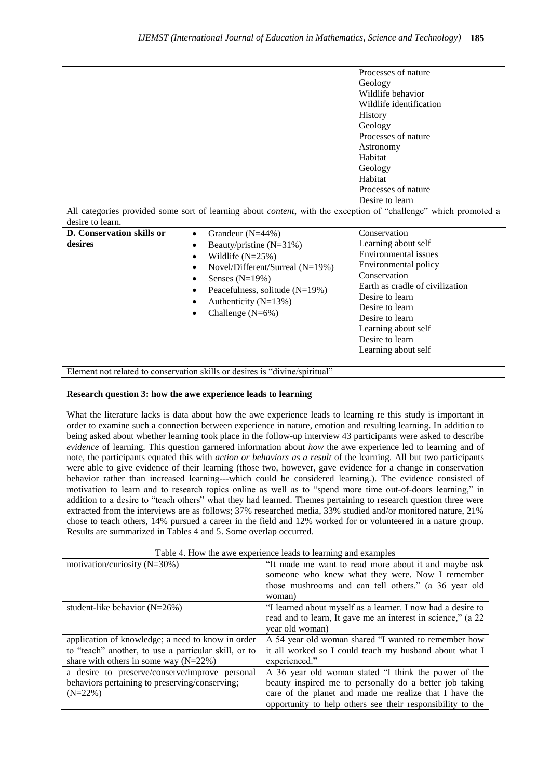| Processes of nature     |
|-------------------------|
| Geology                 |
| Wildlife behavior       |
| Wildlife identification |
| <b>History</b>          |
| Geology                 |
| Processes of nature     |
| Astronomy               |
| Habitat                 |
| Geology                 |
| Habitat                 |
| Processes of nature     |
| Desire to learn         |

All categories provided some sort of learning about *content*, with the exception of "challenge" which promoted a desire to learn.

| <b>D.</b> Conservation skills or<br>desires | Grandeur $(N=44\%)$<br>$\bullet$<br>Beauty/pristine $(N=31\%)$<br>$\bullet$<br>Wildlife $(N=25%)$<br>$\bullet$<br>Novel/Different/Surreal $(N=19%)$<br>$\bullet$<br>Senses $(N=19%)$<br>٠<br>Peacefulness, solitude $(N=19%)$<br>$\bullet$<br>Authenticity $(N=13\%)$<br>٠<br>Challenge $(N=6\%)$<br>$\bullet$ | Conservation<br>Learning about self<br>Environmental issues<br>Environmental policy<br>Conservation<br>Earth as cradle of civilization<br>Desire to learn<br>Desire to learn<br>Desire to learn<br>Learning about self<br>Desire to learn<br>Learning about self |
|---------------------------------------------|----------------------------------------------------------------------------------------------------------------------------------------------------------------------------------------------------------------------------------------------------------------------------------------------------------------|------------------------------------------------------------------------------------------------------------------------------------------------------------------------------------------------------------------------------------------------------------------|
| T <sub>1</sub>                              | 1.11<br>$\cdot$ $\alpha$ $\cdot$ $\cdot$<br>$\sim$ $\sim$                                                                                                                                                                                                                                                      |                                                                                                                                                                                                                                                                  |

Element not related to conservation skills or desires is "divine/spiritual"

#### **Research question 3: how the awe experience leads to learning**

What the literature lacks is data about how the awe experience leads to learning re this study is important in order to examine such a connection between experience in nature, emotion and resulting learning. In addition to being asked about whether learning took place in the follow-up interview 43 participants were asked to describe *evidence* of learning. This question garnered information about *how* the awe experience led to learning and of note, the participants equated this with *action or behaviors as a result* of the learning. All but two participants were able to give evidence of their learning (those two, however, gave evidence for a change in conservation behavior rather than increased learning---which could be considered learning.). The evidence consisted of motivation to learn and to research topics online as well as to "spend more time out-of-doors learning," in addition to a desire to "teach others" what they had learned. Themes pertaining to research question three were extracted from the interviews are as follows; 37% researched media, 33% studied and/or monitored nature, 21% chose to teach others, 14% pursued a career in the field and 12% worked for or volunteered in a nature group. Results are summarized in Tables 4 and 5. Some overlap occurred.

|  |  |  | Table 4. How the awe experience leads to learning and examples |  |  |
|--|--|--|----------------------------------------------------------------|--|--|
|  |  |  |                                                                |  |  |

| motivation/curiosity $(N=30\%)$                      | "It made me want to read more about it and maybe ask<br>someone who knew what they were. Now I remember |
|------------------------------------------------------|---------------------------------------------------------------------------------------------------------|
|                                                      | those mushrooms and can tell others." (a 36 year old                                                    |
|                                                      | woman)                                                                                                  |
| student-like behavior $(N=26%)$                      | "I learned about myself as a learner. I now had a desire to                                             |
|                                                      | read and to learn, It gave me an interest in science," (a 22                                            |
|                                                      | year old woman)                                                                                         |
| application of knowledge; a need to know in order    | A 54 year old woman shared "I wanted to remember how                                                    |
| to "teach" another, to use a particular skill, or to | it all worked so I could teach my husband about what I                                                  |
| share with others in some way $(N=22%)$              | experienced."                                                                                           |
| a desire to preserve/conserve/improve personal       | A 36 year old woman stated "I think the power of the                                                    |
| behaviors pertaining to preserving/conserving;       | beauty inspired me to personally do a better job taking                                                 |
| $(N=22\%)$                                           | care of the planet and made me realize that I have the                                                  |
|                                                      | opportunity to help others see their responsibility to the                                              |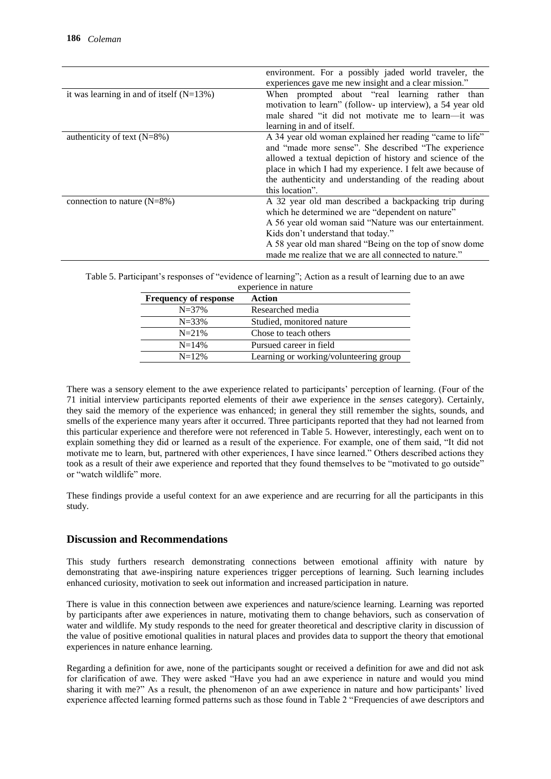|                                            | environment. For a possibly jaded world traveler, the<br>experiences gave me new insight and a clear mission."                                                                                                                                                                                                                  |
|--------------------------------------------|---------------------------------------------------------------------------------------------------------------------------------------------------------------------------------------------------------------------------------------------------------------------------------------------------------------------------------|
| it was learning in and of itself $(N=13%)$ | When prompted about "real learning rather than<br>motivation to learn" (follow- up interview), a 54 year old<br>male shared "it did not motivate me to learn—it was<br>learning in and of itself.                                                                                                                               |
| authenticity of text $(N=8%)$              | A 34 year old woman explained her reading "came to life"<br>and "made more sense". She described "The experience<br>allowed a textual depiction of history and science of the<br>place in which I had my experience. I felt awe because of<br>the authenticity and understanding of the reading about<br>this location".        |
| connection to nature $(N=8\%)$             | A 32 year old man described a backpacking trip during<br>which he determined we are "dependent on nature"<br>A 56 year old woman said "Nature was our entertainment.<br>Kids don't understand that today."<br>A 58 year old man shared "Being on the top of snow dome"<br>made me realize that we are all connected to nature." |

Table 5. Participant's responses of "evidence of learning"; Action as a result of learning due to an awe experience in nature

| <b>Frequency of response</b> | Action                                 |
|------------------------------|----------------------------------------|
| $N = 37\%$                   | Researched media                       |
| $N = 33\%$                   | Studied, monitored nature              |
| $N = 21\%$                   | Chose to teach others                  |
| $N = 14%$                    | Pursued career in field                |
| $N = 12%$                    | Learning or working/volunteering group |
|                              |                                        |

There was a sensory element to the awe experience related to participants' perception of learning. (Four of the 71 initial interview participants reported elements of their awe experience in the *senses* category). Certainly, they said the memory of the experience was enhanced; in general they still remember the sights, sounds, and smells of the experience many years after it occurred. Three participants reported that they had not learned from this particular experience and therefore were not referenced in Table 5. However, interestingly, each went on to explain something they did or learned as a result of the experience. For example, one of them said, "It did not motivate me to learn, but, partnered with other experiences, I have since learned." Others described actions they took as a result of their awe experience and reported that they found themselves to be "motivated to go outside" or "watch wildlife" more.

These findings provide a useful context for an awe experience and are recurring for all the participants in this study.

# **Discussion and Recommendations**

This study furthers research demonstrating connections between emotional affinity with nature by demonstrating that awe-inspiring nature experiences trigger perceptions of learning. Such learning includes enhanced curiosity, motivation to seek out information and increased participation in nature.

There is value in this connection between awe experiences and nature/science learning. Learning was reported by participants after awe experiences in nature, motivating them to change behaviors, such as conservation of water and wildlife. My study responds to the need for greater theoretical and descriptive clarity in discussion of the value of positive emotional qualities in natural places and provides data to support the theory that emotional experiences in nature enhance learning.

Regarding a definition for awe, none of the participants sought or received a definition for awe and did not ask for clarification of awe. They were asked "Have you had an awe experience in nature and would you mind sharing it with me?" As a result, the phenomenon of an awe experience in nature and how participants' lived experience affected learning formed patterns such as those found in Table 2 "Frequencies of awe descriptors and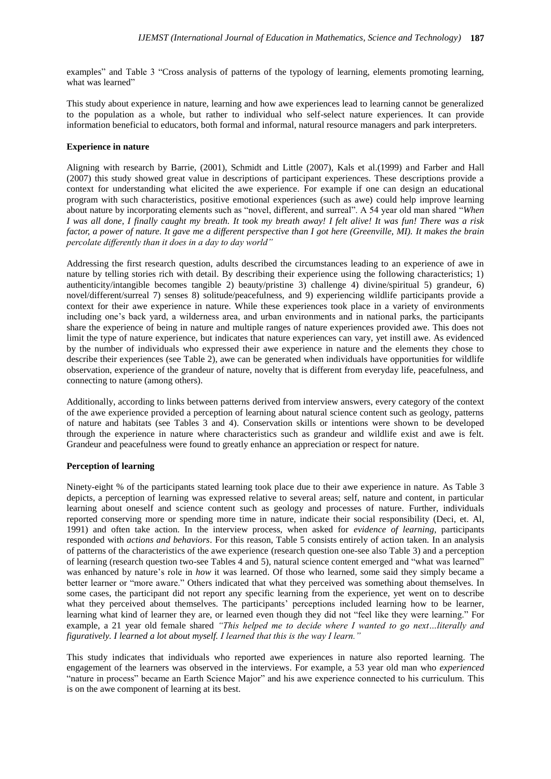examples" and Table 3 "Cross analysis of patterns of the typology of learning, elements promoting learning, what was learned"

This study about experience in nature, learning and how awe experiences lead to learning cannot be generalized to the population as a whole, but rather to individual who self-select nature experiences. It can provide information beneficial to educators, both formal and informal, natural resource managers and park interpreters.

### **Experience in nature**

Aligning with research by Barrie, (2001), Schmidt and Little (2007), Kals et al.(1999) and Farber and Hall (2007) this study showed great value in descriptions of participant experiences. These descriptions provide a context for understanding what elicited the awe experience. For example if one can design an educational program with such characteristics, positive emotional experiences (such as awe) could help improve learning about nature by incorporating elements such as "novel, different, and surreal". A 54 year old man shared "*When I was all done, I finally caught my breath. It took my breath away! I felt alive! It was fun! There was a risk factor, a power of nature. It gave me a different perspective than I got here (Greenville, MI). It makes the brain percolate differently than it does in a day to day world"*

Addressing the first research question, adults described the circumstances leading to an experience of awe in nature by telling stories rich with detail. By describing their experience using the following characteristics; 1) authenticity/intangible becomes tangible 2) beauty/pristine 3) challenge 4) divine/spiritual 5) grandeur, 6) novel/different/surreal 7) senses 8) solitude/peacefulness, and 9) experiencing wildlife participants provide a context for their awe experience in nature. While these experiences took place in a variety of environments including one's back yard, a wilderness area, and urban environments and in national parks, the participants share the experience of being in nature and multiple ranges of nature experiences provided awe. This does not limit the type of nature experience, but indicates that nature experiences can vary, yet instill awe. As evidenced by the number of individuals who expressed their awe experience in nature and the elements they chose to describe their experiences (see Table 2), awe can be generated when individuals have opportunities for wildlife observation, experience of the grandeur of nature, novelty that is different from everyday life, peacefulness, and connecting to nature (among others).

Additionally, according to links between patterns derived from interview answers, every category of the context of the awe experience provided a perception of learning about natural science content such as geology, patterns of nature and habitats (see Tables 3 and 4). Conservation skills or intentions were shown to be developed through the experience in nature where characteristics such as grandeur and wildlife exist and awe is felt. Grandeur and peacefulness were found to greatly enhance an appreciation or respect for nature.

#### **Perception of learning**

Ninety-eight % of the participants stated learning took place due to their awe experience in nature. As Table 3 depicts, a perception of learning was expressed relative to several areas; self, nature and content, in particular learning about oneself and science content such as geology and processes of nature. Further, individuals reported conserving more or spending more time in nature, indicate their social responsibility (Deci, et. Al, 1991) and often take action. In the interview process, when asked for *evidence of learning,* participants responded with *actions and behaviors*. For this reason, Table 5 consists entirely of action taken. In an analysis of patterns of the characteristics of the awe experience (research question one-see also Table 3) and a perception of learning (research question two-see Tables 4 and 5), natural science content emerged and "what was learned" was enhanced by nature's role in *how* it was learned. Of those who learned, some said they simply became a better learner or "more aware." Others indicated that what they perceived was something about themselves. In some cases, the participant did not report any specific learning from the experience, yet went on to describe what they perceived about themselves. The participants' perceptions included learning how to be learner, learning what kind of learner they are, or learned even though they did not "feel like they were learning." For example, a 21 year old female shared *"This helped me to decide where I wanted to go next…literally and figuratively. I learned a lot about myself. I learned that this is the way I learn."*

This study indicates that individuals who reported awe experiences in nature also reported learning. The engagement of the learners was observed in the interviews. For example, a 53 year old man who *experienced* "nature in process" became an Earth Science Major" and his awe experience connected to his curriculum. This is on the awe component of learning at its best.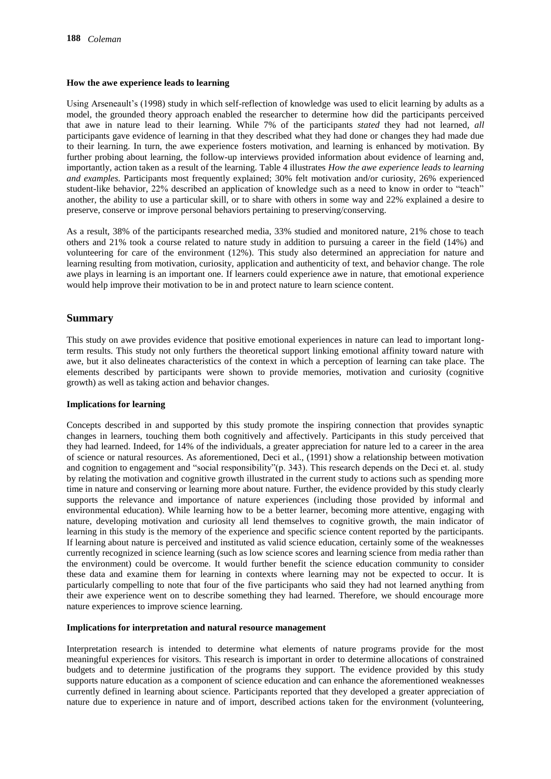#### **How the awe experience leads to learning**

Using Arseneault's (1998) study in which self-reflection of knowledge was used to elicit learning by adults as a model, the grounded theory approach enabled the researcher to determine how did the participants perceived that awe in nature lead to their learning. While 7% of the participants *stated* they had not learned, *all*  participants gave evidence of learning in that they described what they had done or changes they had made due to their learning. In turn, the awe experience fosters motivation, and learning is enhanced by motivation. By further probing about learning, the follow-up interviews provided information about evidence of learning and, importantly, action taken as a result of the learning. Table 4 illustrates *How the awe experience leads to learning and examples.* Participants most frequently explained; 30% felt motivation and/or curiosity, 26% experienced student-like behavior, 22% described an application of knowledge such as a need to know in order to "teach" another, the ability to use a particular skill, or to share with others in some way and 22% explained a desire to preserve, conserve or improve personal behaviors pertaining to preserving/conserving.

As a result, 38% of the participants researched media, 33% studied and monitored nature, 21% chose to teach others and 21% took a course related to nature study in addition to pursuing a career in the field (14%) and volunteering for care of the environment (12%). This study also determined an appreciation for nature and learning resulting from motivation, curiosity, application and authenticity of text, and behavior change. The role awe plays in learning is an important one. If learners could experience awe in nature, that emotional experience would help improve their motivation to be in and protect nature to learn science content.

# **Summary**

This study on awe provides evidence that positive emotional experiences in nature can lead to important longterm results. This study not only furthers the theoretical support linking emotional affinity toward nature with awe, but it also delineates characteristics of the context in which a perception of learning can take place. The elements described by participants were shown to provide memories, motivation and curiosity (cognitive growth) as well as taking action and behavior changes.

#### **Implications for learning**

Concepts described in and supported by this study promote the inspiring connection that provides synaptic changes in learners, touching them both cognitively and affectively. Participants in this study perceived that they had learned. Indeed, for 14% of the individuals, a greater appreciation for nature led to a career in the area of science or natural resources. As aforementioned, Deci et al., (1991) show a relationship between motivation and cognition to engagement and "social responsibility"(p. 343). This research depends on the Deci et. al. study by relating the motivation and cognitive growth illustrated in the current study to actions such as spending more time in nature and conserving or learning more about nature. Further, the evidence provided by this study clearly supports the relevance and importance of nature experiences (including those provided by informal and environmental education). While learning how to be a better learner, becoming more attentive, engaging with nature, developing motivation and curiosity all lend themselves to cognitive growth, the main indicator of learning in this study is the memory of the experience and specific science content reported by the participants. If learning about nature is perceived and instituted as valid science education, certainly some of the weaknesses currently recognized in science learning (such as low science scores and learning science from media rather than the environment) could be overcome. It would further benefit the science education community to consider these data and examine them for learning in contexts where learning may not be expected to occur. It is particularly compelling to note that four of the five participants who said they had not learned anything from their awe experience went on to describe something they had learned. Therefore, we should encourage more nature experiences to improve science learning.

#### **Implications for interpretation and natural resource management**

Interpretation research is intended to determine what elements of nature programs provide for the most meaningful experiences for visitors. This research is important in order to determine allocations of constrained budgets and to determine justification of the programs they support. The evidence provided by this study supports nature education as a component of science education and can enhance the aforementioned weaknesses currently defined in learning about science. Participants reported that they developed a greater appreciation of nature due to experience in nature and of import, described actions taken for the environment (volunteering,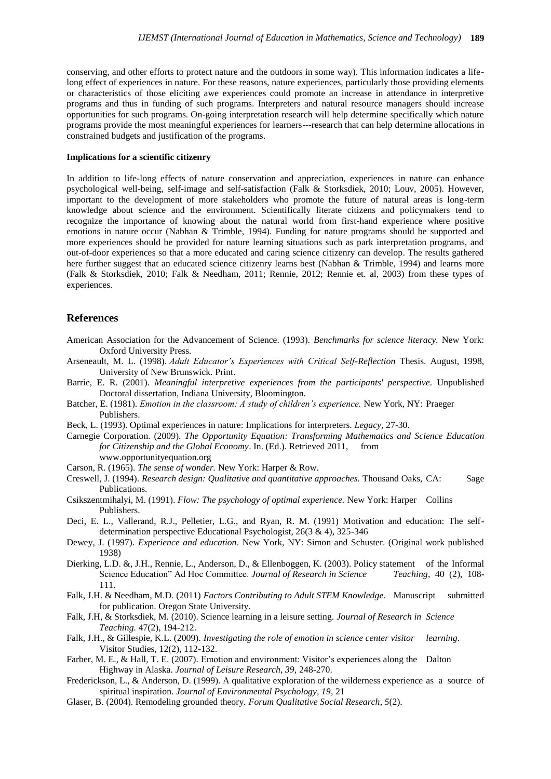conserving, and other efforts to protect nature and the outdoors in some way). This information indicates a lifelong effect of experiences in nature. For these reasons, nature experiences, particularly those providing elements or characteristics of those eliciting awe experiences could promote an increase in attendance in interpretive programs and thus in funding of such programs. Interpreters and natural resource managers should increase opportunities for such programs. On-going interpretation research will help determine specifically which nature programs provide the most meaningful experiences for learners---research that can help determine allocations in constrained budgets and justification of the programs.

#### **Implications for a scientific citizenry**

In addition to life-long effects of nature conservation and appreciation, experiences in nature can enhance psychological well-being, self-image and self-satisfaction (Falk & Storksdiek, 2010; Louv, 2005). However, important to the development of more stakeholders who promote the future of natural areas is long-term knowledge about science and the environment. Scientifically literate citizens and policymakers tend to recognize the importance of knowing about the natural world from first-hand experience where positive emotions in nature occur (Nabhan & Trimble, 1994). Funding for nature programs should be supported and more experiences should be provided for nature learning situations such as park interpretation programs, and out-of-door experiences so that a more educated and caring science citizenry can develop. The results gathered here further suggest that an educated science citizenry learns best (Nabhan & Trimble, 1994) and learns more (Falk & Storksdiek, 2010; Falk & Needham, 2011; Rennie, 2012; Rennie et. al, 2003) from these types of experiences.

# **References**

- American Association for the Advancement of Science. (1993). *Benchmarks for science literacy.* New York: Oxford University Press.
- Arseneault, M. L. (1998). *Adult Educator's Experiences with Critical Self-Reflection* Thesis. August, 1998, University of New Brunswick. Print.
- Barrie, E. R. (2001). *Meaningful interpretive experiences from the participants' perspective*. Unpublished Doctoral dissertation, Indiana University, Bloomington.
- Batcher, E. (1981). *Emotion in the classroom: A study of children's experience.* New York, NY: Praeger Publishers.
- Beck, L. (1993). Optimal experiences in nature: Implications for interpreters. *Legacy,* 27-30.
- Carnegie Corporation. (2009). *The Opportunity Equation: Transforming Mathematics and Science Education for Citizenship and the Global Economy*. In. (Ed.). Retrieved 2011, from www.opportunityequation.org
- Carson, R. (1965). *The sense of wonder.* New York: Harper & Row.
- Creswell, J. (1994). *Research design: Qualitative and quantitative approaches.* Thousand Oaks, CA: Sage Publications.
- Csikszentmihalyi, M. (1991). *Flow: The psychology of optimal experience.* New York: Harper Collins Publishers.
- Deci, E. L., Vallerand, R.J., Pelletier, L.G., and Ryan, R. M. (1991) Motivation and education: The selfdetermination perspective Educational Psychologist, 26(3 & 4), 325-346
- Dewey, J. (1997). *Experience and education*. New York, NY: Simon and Schuster. (Original work published 1938)
- Dierking, L.D. &, J.H., Rennie, L., Anderson, D., & Ellenboggen, K. (2003). Policy statement of the Informal Science Education" Ad Hoc Committee. *Journal of Research in Science Teaching*, 40 (2), 108- 111.
- Falk, J.H. & Needham, M.D. (2011) *Factors Contributing to Adult STEM Knowledge.* Manuscript submitted for publication. Oregon State University.
- Falk, J.H, & Storksdiek, M. (2010). Science learning in a leisure setting. *Journal of Research in Science Teaching.* 47(2), 194-212.
- Falk, J.H., & Gillespie, K.L. (2009). *Investigating the role of emotion in science center visitor learning*. Visitor Studies, 12(2), 112-132.
- Farber, M. E., & Hall, T. E. (2007). Emotion and environment: Visitor's experiences along the Dalton Highway in Alaska. *Journal of Leisure Research, 39,* 248-270.
- Frederickson, L., & Anderson, D. (1999). A qualitative exploration of the wilderness experience as a source of spiritual inspiration. *Journal of Environmental Psychology, 19,* 21
- Glaser, B. (2004). Remodeling grounded theory. *Forum Qualitative Social Research*, *5*(2).